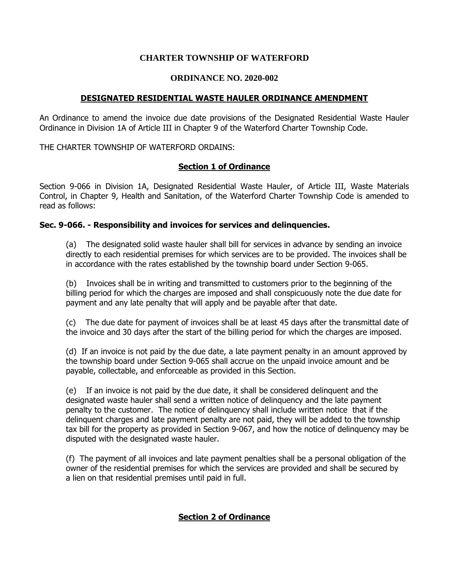## **CHARTER TOWNSHIP OF WATERFORD**

## **ORDINANCE NO. 2020-002**

## **DESIGNATED RESIDENTIAL WASTE HAULER ORDINANCE AMENDMENT**

An Ordinance to amend the invoice due date provisions of the Designated Residential Waste Hauler Ordinance in Division 1A of Article III in Chapter 9 of the Waterford Charter Township Code.

THE CHARTER TOWNSHIP OF WATERFORD ORDAINS:

# **Section 1 of Ordinance**

Section 9-066 in Division 1A, Designated Residential Waste Hauler, of Article III, Waste Materials Control, in Chapter 9, Health and Sanitation, of the Waterford Charter Township Code is amended to read as follows:

## **Sec. 9-066. - Responsibility and invoices for services and delinquencies.**

(a) The designated solid waste hauler shall bill for services in advance by sending an invoice directly to each residential premises for which services are to be provided. The invoices shall be in accordance with the rates established by the township board under Section 9-065.

(b) Invoices shall be in writing and transmitted to customers prior to the beginning of the billing period for which the charges are imposed and shall conspicuously note the due date for payment and any late penalty that will apply and be payable after that date.

(c) The due date for payment of invoices shall be at least 45 days after the transmittal date of the invoice and 30 days after the start of the billing period for which the charges are imposed.

(d) If an invoice is not paid by the due date, a late payment penalty in an amount approved by the township board under Section 9-065 shall accrue on the unpaid invoice amount and be payable, collectable, and enforceable as provided in this Section.

(e) If an invoice is not paid by the due date, it shall be considered delinquent and the designated waste hauler shall send a written notice of delinquency and the late payment penalty to the customer. The notice of delinquency shall include written notice that if the delinquent charges and late payment penalty are not paid, they will be added to the township tax bill for the property as provided in Section 9-067, and how the notice of delinquency may be disputed with the designated waste hauler.

(f) The payment of all invoices and late payment penalties shall be a personal obligation of the owner of the residential premises for which the services are provided and shall be secured by a lien on that residential premises until paid in full.

# **Section 2 of Ordinance**